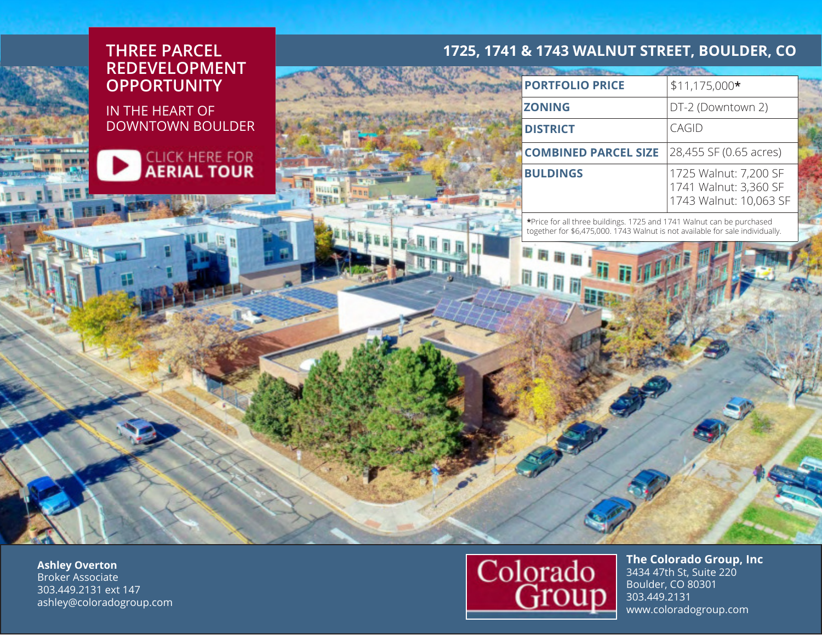## **THREE PARCEL REDEVELOPMENT OPPORTUNITY**

IN THE HEART OF DOWNTOWN BOULDER



| н |  |
|---|--|

## **1725, 1741 & 1743 WALNUT STREET, BOULDER, CO**

| <b>PORTFOLIO PRICE</b>      | $$11,175,000*$                                                           |
|-----------------------------|--------------------------------------------------------------------------|
| <b>ZONING</b>               | DT-2 (Downtown 2)                                                        |
| <b>DISTRICT</b>             | CAGID                                                                    |
| <b>COMBINED PARCEL SIZE</b> | 28,455 SF (0.65 acres)                                                   |
| <b>BULDINGS</b>             | 1725 Walnut: 7,200 SF<br>1741 Walnut: 3,360 SF<br>1743 Walnut: 10,063 SF |

\*Price for all three buildings. 1725 and 1741 Walnut can be purchased together for \$6,475,000. 1743 Walnut is not available for sale individually.

**Ashley Overton** Broker Associate 303.449.2131 ext 147 ashley@coloradogroup.com



**The Colorado Group, Inc** 3434 47th St, Suite 220 Boulder, CO 80301 303.449.2131 www.coloradogroup.com